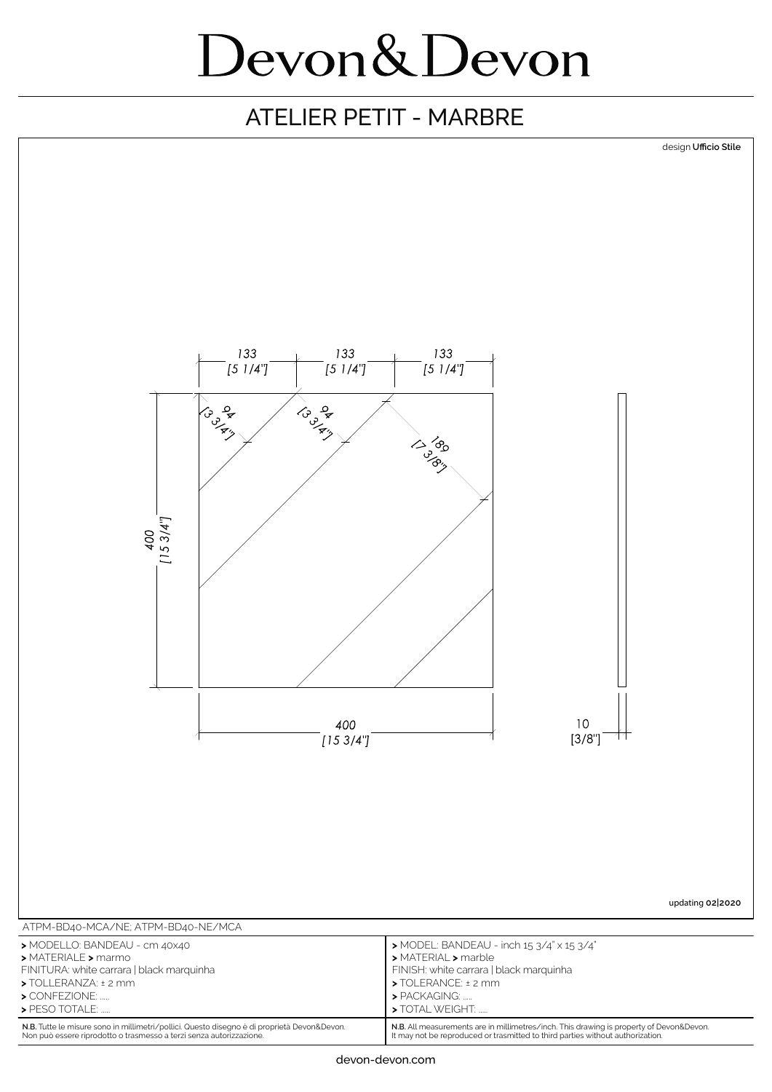### ATELIER PETIT - MARBRE



Non può essere riprodotto o trasmesso a terzi senza autorizzazione.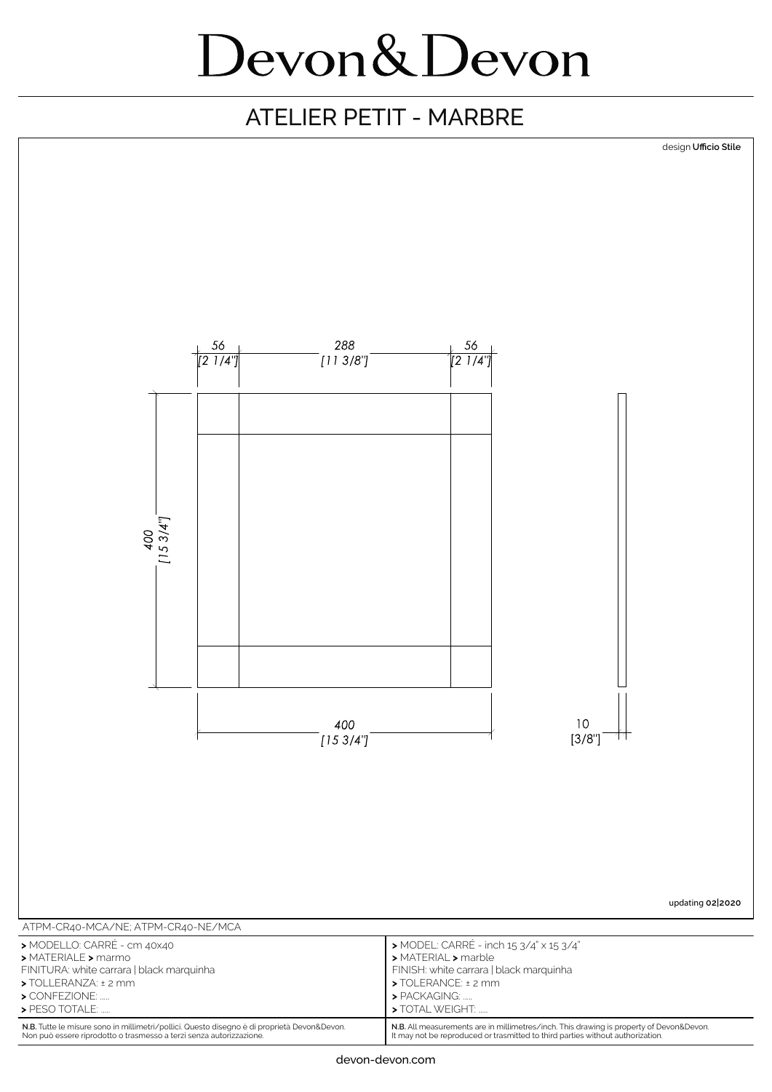### ATELIER PETIT - MARBRE

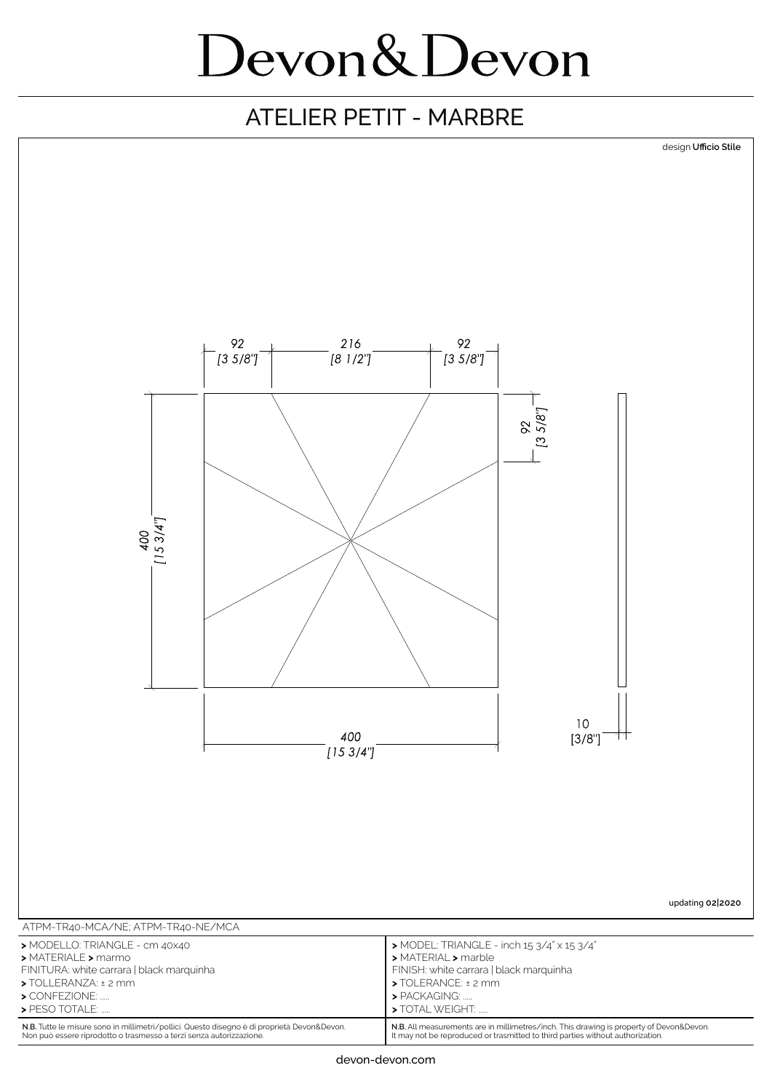#### ATELIER PETIT - MARBRE



**N.B.** All measurements are in millimetres/inch. This drawing is property of Devon&Devon. It may not be reproduced or trasmitted to third parties without authorization.

**N.B.** Tutte le misure sono in millimetri/pollici. Questo disegno è di proprietà Devon&Devon. Non può essere riprodotto o trasmesso a terzi senza autorizzazione.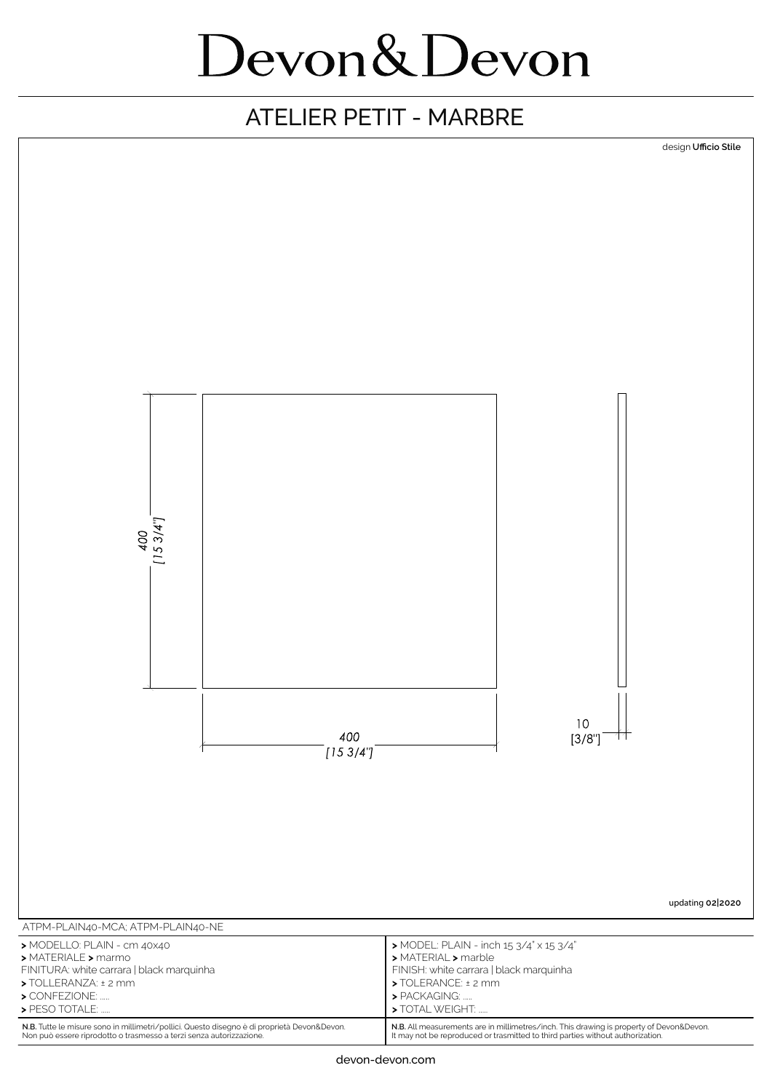#### ATELIER PETIT - MARBRE



**N.B.** All measurements are in millimetres/inch. This drawing is property of Devon&Devon. It may not be reproduced or trasmitted to third parties without authorization.

**N.B.** Tutte le misure sono in millimetri/pollici. Questo disegno è di proprietà Devon&Devon. Non può essere riprodotto o trasmesso a terzi senza autorizzazione.